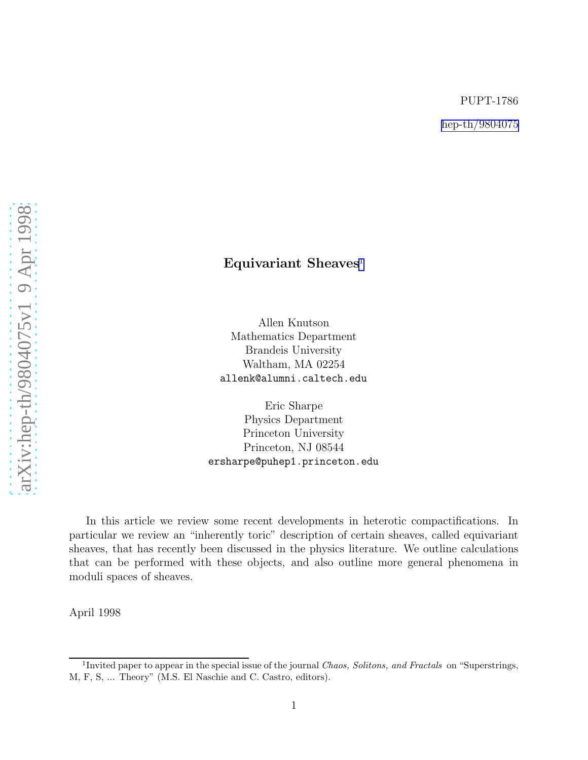[arXiv:hep-th/9804075v1 9 Apr 1998](http://arxiv.org/abs/hep-th/9804075v1)

arXiv:hep-th/9804075v1 9 Apr 1998

## Equivariant Sheaves<sup>1</sup>

Allen Knutson Mathematics Department Brandeis University Waltham, MA 02254 allenk@alumni.caltech.edu

Eric Sharpe Physics Department Princeton University Princeton, NJ 08544 ersharpe@puhep1.princeton.edu

In this article we review some recent developments in heterotic compactifications. In particular we review an "inherently toric" description of certain sheaves, called equivariant sheaves, that has recently been discussed in the physics literature. We outline calculations that can be performed with these objects, and also outline more general phenomena in moduli spaces of sheaves.

April 1998

<sup>&</sup>lt;sup>1</sup>Invited paper to appear in the special issue of the journal *Chaos, Solitons, and Fractals* on "Superstrings, M, F, S, ... Theory" (M.S. El Naschie and C. Castro, editors).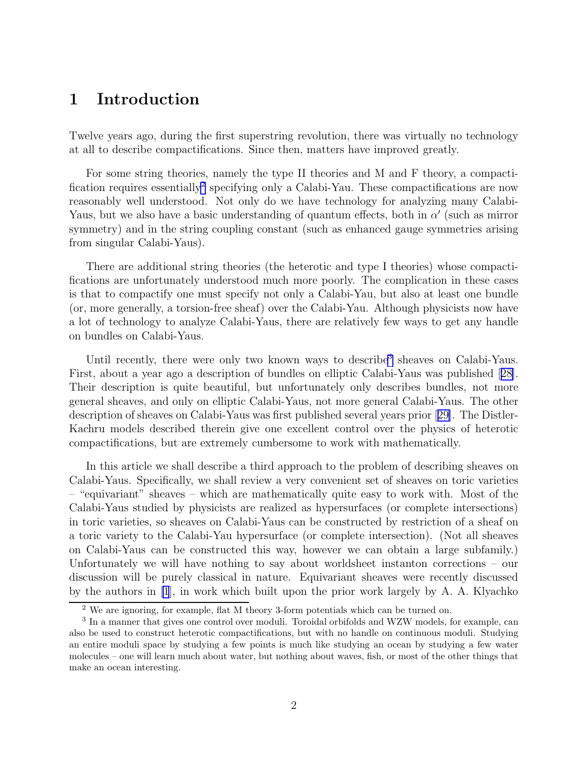# 1 Introduction

Twelve years ago, during the first superstring revolution, there was virtually no technology at all to describe compactifications. Since then, matters have improved greatly.

For some string theories, namely the type II theories and M and F theory, a compactification requires essentially<sup>2</sup> specifying only a Calabi-Yau. These compactifications are now reasonably well understood. Not only do we have technology for analyzing many Calabi-Yaus, but we also have a basic understanding of quantum effects, both in  $\alpha'$  (such as mirror symmetry) and in the string coupling constant (such as enhanced gauge symmetries arising from singular Calabi-Yaus).

There are additional string theories (the heterotic and type I theories) whose compactifications are unfortunately understood much more poorly. The complication in these cases is that to compactify one must specify not only a Calabi-Yau, but also at least one bundle (or, more generally, a torsion-free sheaf) over the Calabi-Yau. Although physicists now have a lot of technology to analyze Calabi-Yaus, there are relatively few ways to get any handle on bundles on Calabi-Yaus.

Until recently, there were only two known ways to describe<sup>3</sup> sheaves on Calabi-Yaus. First, about a year ago a description of bundles on elliptic Calabi-Yaus was published[[28\]](#page-19-0). Their description is quite beautiful, but unfortunately only describes bundles, not more general sheaves, and only on elliptic Calabi-Yaus, not more general Calabi-Yaus. The other description of sheaves on Calabi-Yaus was first published several years prior[[29\]](#page-19-0). The Distler-Kachru models described therein give one excellent control over the physics of heterotic compactifications, but are extremely cumbersome to work with mathematically.

In this article we shall describe a third approach to the problem of describing sheaves on Calabi-Yaus. Specifically, we shall review a very convenient set of sheaves on toric varieties – "equivariant" sheaves – which are mathematically quite easy to work with. Most of the Calabi-Yaus studied by physicists are realized as hypersurfaces (or complete intersections) in toric varieties, so sheaves on Calabi-Yaus can be constructed by restriction of a sheaf on a toric variety to the Calabi-Yau hypersurface (or complete intersection). (Not all sheaves on Calabi-Yaus can be constructed this way, however we can obtain a large subfamily.) Unfortunately we will have nothing to say about worldsheet instanton corrections – our discussion will be purely classical in nature. Equivariant sheaves were recently discussed by the authors in [\[1](#page-17-0)], in work which built upon the prior work largely by A. A. Klyachko

<sup>2</sup> We are ignoring, for example, flat M theory 3-form potentials which can be turned on.

<sup>&</sup>lt;sup>3</sup> In a manner that gives one control over moduli. Toroidal orbifolds and WZW models, for example, can also be used to construct heterotic compactifications, but with no handle on continuous moduli. Studying an entire moduli space by studying a few points is much like studying an ocean by studying a few water molecules – one will learn much about water, but nothing about waves, fish, or most of the other things that make an ocean interesting.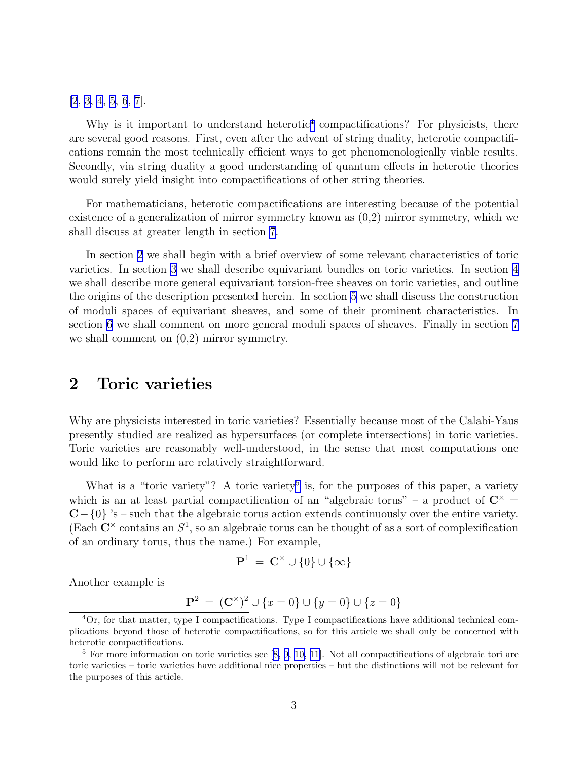[\[2](#page-17-0), [3](#page-17-0), [4](#page-17-0), [5](#page-17-0), [6](#page-17-0), [7](#page-17-0)].

Why is it important to understand heterotic<sup>4</sup> compactifications? For physicists, there are several good reasons. First, even after the advent of string duality, heterotic compactifications remain the most technically efficient ways to get phenomenologically viable results. Secondly, via string duality a good understanding of quantum effects in heterotic theories would surely yield insight into compactifications of other string theories.

For mathematicians, heterotic compactifications are interesting because of the potential existence of a generalization of mirror symmetry known as (0,2) mirror symmetry, which we shall discuss at greater length in section [7.](#page-15-0)

In section 2 we shall begin with a brief overview of some relevant characteristics of toric varieties. In section [3](#page-3-0) we shall describe equivariant bundles on toric varieties. In section [4](#page-5-0) we shall describe more general equivariant torsion-free sheaves on toric varieties, and outline the origins of the description presented herein. In section [5](#page-11-0) we shall discuss the construction of moduli spaces of equivariant sheaves, and some of their prominent characteristics. In section [6](#page-14-0) we shall comment on more general moduli spaces of sheaves. Finally in section [7](#page-15-0) we shall comment on (0,2) mirror symmetry.

### 2 Toric varieties

Why are physicists interested in toric varieties? Essentially because most of the Calabi-Yaus presently studied are realized as hypersurfaces (or complete intersections) in toric varieties. Toric varieties are reasonably well-understood, in the sense that most computations one would like to perform are relatively straightforward.

What is a "toric variety"? A toric variety<sup>5</sup> is, for the purposes of this paper, a variety which is an at least partial compactification of an "algebraic torus" – a product of  $\mathbb{C}^{\times}$  =  $C-\{0\}$  's – such that the algebraic torus action extends continuously over the entire variety. (Each  $\mathbb{C}^{\times}$  contains an  $S^1$ , so an algebraic torus can be thought of as a sort of complexification of an ordinary torus, thus the name.) For example,

$$
\mathbf{P}^1\ =\ \mathbf{C}^\times\cup\{0\}\cup\{\infty\}
$$

Another example is

$$
\mathbf{P}^2 = (\mathbf{C}^{\times})^2 \cup \{x = 0\} \cup \{y = 0\} \cup \{z = 0\}
$$

<sup>4</sup>Or, for that matter, type I compactifications. Type I compactifications have additional technical complications beyond those of heterotic compactifications, so for this article we shall only be concerned with heterotic compactifications.

<sup>&</sup>lt;sup>5</sup>For more information on toric varieties see [[8,](#page-17-0) [9, 10, 11\]](#page-18-0). Not all compactifications of algebraic tori are toric varieties – toric varieties have additional nice properties – but the distinctions will not be relevant for the purposes of this article.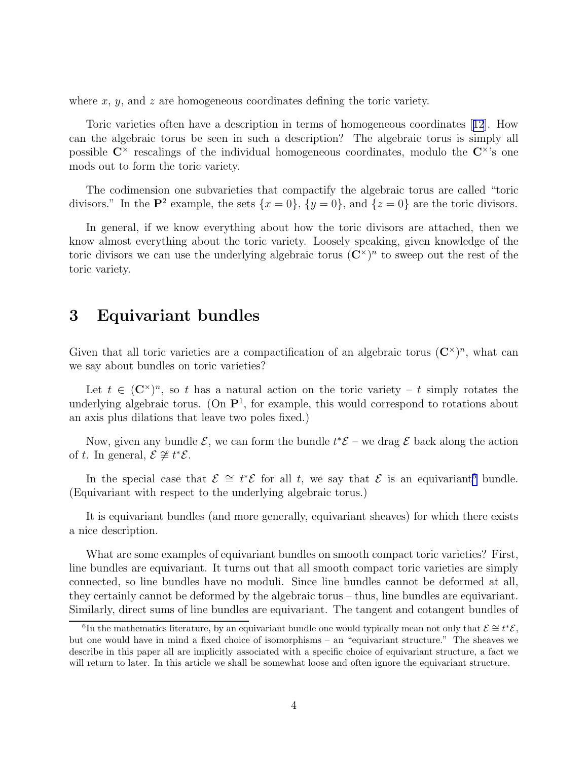<span id="page-3-0"></span>where x,  $y$ , and z are homogeneous coordinates defining the toric variety.

Toric varieties often have a description in terms of homogeneous coordinates[[12](#page-18-0)]. How can the algebraic torus be seen in such a description? The algebraic torus is simply all possible  $C^{\times}$  rescalings of the individual homogeneous coordinates, modulo the  $C^{\times}$ 's one mods out to form the toric variety.

The codimension one subvarieties that compactify the algebraic torus are called "toric divisors." In the  $\mathbf{P}^2$  example, the sets  $\{x=0\}$ ,  $\{y=0\}$ , and  $\{z=0\}$  are the toric divisors.

In general, if we know everything about how the toric divisors are attached, then we know almost everything about the toric variety. Loosely speaking, given knowledge of the toric divisors we can use the underlying algebraic torus  $(\mathbb{C}^{\times})^n$  to sweep out the rest of the toric variety.

### 3 Equivariant bundles

Given that all toric varieties are a compactification of an algebraic torus  $(\mathbb{C}^{\times})^n$ , what can we say about bundles on toric varieties?

Let  $t \in (\mathbb{C}^{\times})^n$ , so t has a natural action on the toric variety – t simply rotates the underlying algebraic torus. (On  $\mathbf{P}^1$ , for example, this would correspond to rotations about an axis plus dilations that leave two poles fixed.)

Now, given any bundle  $\mathcal{E}$ , we can form the bundle  $t^*\mathcal{E}$  – we drag  $\mathcal{E}$  back along the action of t. In general,  $\mathcal{E} \not\cong t^*\mathcal{E}$ .

In the special case that  $\mathcal{E} \cong t^*\mathcal{E}$  for all t, we say that  $\mathcal{E}$  is an equivariant<sup>6</sup> bundle. (Equivariant with respect to the underlying algebraic torus.)

It is equivariant bundles (and more generally, equivariant sheaves) for which there exists a nice description.

What are some examples of equivariant bundles on smooth compact toric varieties? First, line bundles are equivariant. It turns out that all smooth compact toric varieties are simply connected, so line bundles have no moduli. Since line bundles cannot be deformed at all, they certainly cannot be deformed by the algebraic torus – thus, line bundles are equivariant. Similarly, direct sums of line bundles are equivariant. The tangent and cotangent bundles of

<sup>&</sup>lt;sup>6</sup>In the mathematics literature, by an equivariant bundle one would typically mean not only that  $\mathcal{E} \cong t^* \mathcal{E}$ , but one would have in mind a fixed choice of isomorphisms – an "equivariant structure." The sheaves we describe in this paper all are implicitly associated with a specific choice of equivariant structure, a fact we will return to later. In this article we shall be somewhat loose and often ignore the equivariant structure.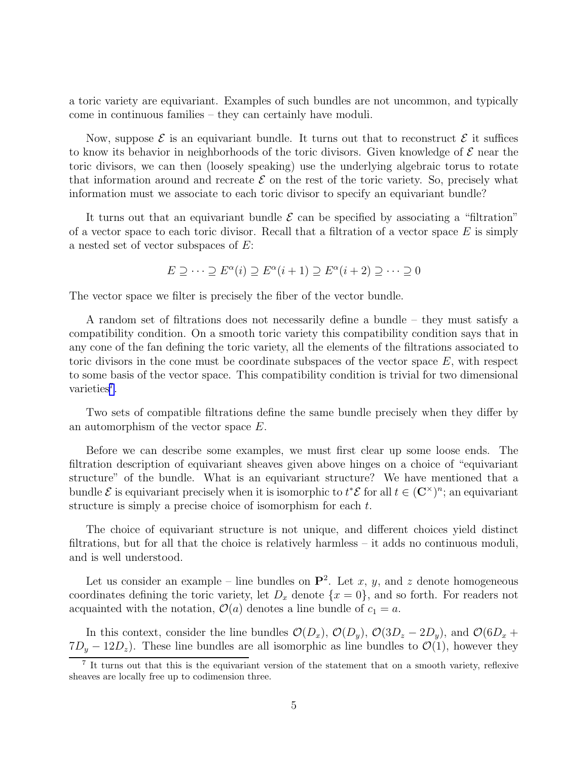a toric variety are equivariant. Examples of such bundles are not uncommon, and typically come in continuous families – they can certainly have moduli.

Now, suppose  $\mathcal E$  is an equivariant bundle. It turns out that to reconstruct  $\mathcal E$  it suffices to know its behavior in neighborhoods of the toric divisors. Given knowledge of  $\mathcal E$  near the toric divisors, we can then (loosely speaking) use the underlying algebraic torus to rotate that information around and recreate  $\mathcal E$  on the rest of the toric variety. So, precisely what information must we associate to each toric divisor to specify an equivariant bundle?

It turns out that an equivariant bundle  $\mathcal E$  can be specified by associating a "filtration" of a vector space to each toric divisor. Recall that a filtration of a vector space  $E$  is simply a nested set of vector subspaces of E:

$$
E \supseteq \cdots \supseteq E^{\alpha}(i) \supseteq E^{\alpha}(i+1) \supseteq E^{\alpha}(i+2) \supseteq \cdots \supseteq 0
$$

The vector space we filter is precisely the fiber of the vector bundle.

A random set of filtrations does not necessarily define a bundle – they must satisfy a compatibility condition. On a smooth toric variety this compatibility condition says that in any cone of the fan defining the toric variety, all the elements of the filtrations associated to toric divisors in the cone must be coordinate subspaces of the vector space  $E$ , with respect to some basis of the vector space. This compatibility condition is trivial for two dimensional varieties<sup>7</sup>.

Two sets of compatible filtrations define the same bundle precisely when they differ by an automorphism of the vector space E.

Before we can describe some examples, we must first clear up some loose ends. The filtration description of equivariant sheaves given above hinges on a choice of "equivariant structure" of the bundle. What is an equivariant structure? We have mentioned that a bundle  $\mathcal E$  is equivariant precisely when it is isomorphic to  $t^*\mathcal E$  for all  $t \in (\mathbf C^\times)^n$ ; an equivariant structure is simply a precise choice of isomorphism for each t.

The choice of equivariant structure is not unique, and different choices yield distinct filtrations, but for all that the choice is relatively harmless – it adds no continuous moduli, and is well understood.

Let us consider an example – line bundles on  $\mathbf{P}^2$ . Let x, y, and z denote homogeneous coordinates defining the toric variety, let  $D_x$  denote  $\{x = 0\}$ , and so forth. For readers not acquainted with the notation,  $\mathcal{O}(a)$  denotes a line bundle of  $c_1 = a$ .

In this context, consider the line bundles  $\mathcal{O}(D_x)$ ,  $\mathcal{O}(D_y)$ ,  $\mathcal{O}(3D_z - 2D_y)$ , and  $\mathcal{O}(6D_x +$  $7D_y - 12D_z$ ). These line bundles are all isomorphic as line bundles to  $\mathcal{O}(1)$ , however they

<sup>&</sup>lt;sup>7</sup> It turns out that this is the equivariant version of the statement that on a smooth variety, reflexive sheaves are locally free up to codimension three.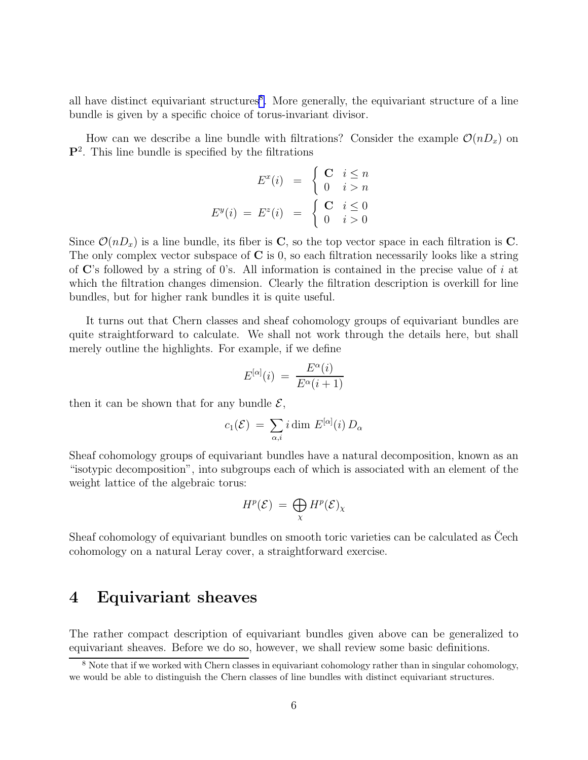<span id="page-5-0"></span>all have distinct equivariant structures<sup>8</sup>. More generally, the equivariant structure of a line bundle is given by a specific choice of torus-invariant divisor.

How can we describe a line bundle with filtrations? Consider the example  $\mathcal{O}(nD_x)$  on P<sup>2</sup> . This line bundle is specified by the filtrations

$$
E^x(i) = \begin{cases} \mathbf{C} & i \le n \\ 0 & i > n \end{cases}
$$
\n
$$
E^y(i) = E^z(i) = \begin{cases} \mathbf{C} & i \le 0 \\ 0 & i > 0 \end{cases}
$$

Since  $\mathcal{O}(nD_x)$  is a line bundle, its fiber is C, so the top vector space in each filtration is C. The only complex vector subspace of  $C$  is 0, so each filtration necessarily looks like a string of  $\mathbf{C}'$ 's followed by a string of 0's. All information is contained in the precise value of i at which the filtration changes dimension. Clearly the filtration description is overkill for line bundles, but for higher rank bundles it is quite useful.

It turns out that Chern classes and sheaf cohomology groups of equivariant bundles are quite straightforward to calculate. We shall not work through the details here, but shall merely outline the highlights. For example, if we define

$$
E^{[\alpha]}(i) = \frac{E^{\alpha}(i)}{E^{\alpha}(i+1)}
$$

then it can be shown that for any bundle  $\mathcal{E}$ ,

$$
c_1(\mathcal{E}) = \sum_{\alpha,i} i \dim E^{[\alpha]}(i) D_\alpha
$$

Sheaf cohomology groups of equivariant bundles have a natural decomposition, known as an "isotypic decomposition", into subgroups each of which is associated with an element of the weight lattice of the algebraic torus:

$$
H^p(\mathcal{E}) = \bigoplus_{\chi} H^p(\mathcal{E})_{\chi}
$$

Sheaf cohomology of equivariant bundles on smooth toric varieties can be calculated as Cech cohomology on a natural Leray cover, a straightforward exercise.

# 4 Equivariant sheaves

The rather compact description of equivariant bundles given above can be generalized to equivariant sheaves. Before we do so, however, we shall review some basic definitions.

<sup>&</sup>lt;sup>8</sup> Note that if we worked with Chern classes in equivariant cohomology rather than in singular cohomology, we would be able to distinguish the Chern classes of line bundles with distinct equivariant structures.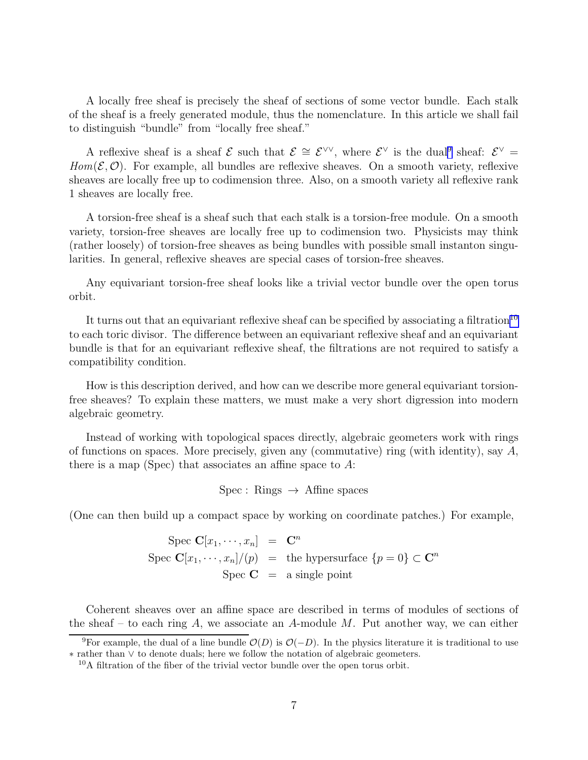A locally free sheaf is precisely the sheaf of sections of some vector bundle. Each stalk of the sheaf is a freely generated module, thus the nomenclature. In this article we shall fail to distinguish "bundle" from "locally free sheaf."

A reflexive sheaf is a sheaf  $\mathcal{E}$  such that  $\mathcal{E} \cong \mathcal{E}^{\vee\vee}$ , where  $\mathcal{E}^{\vee}$  is the dual<sup>9</sup> sheaf:  $\mathcal{E}^{\vee}$  $Hom(\mathcal{E}, \mathcal{O})$ . For example, all bundles are reflexive sheaves. On a smooth variety, reflexive sheaves are locally free up to codimension three. Also, on a smooth variety all reflexive rank 1 sheaves are locally free.

A torsion-free sheaf is a sheaf such that each stalk is a torsion-free module. On a smooth variety, torsion-free sheaves are locally free up to codimension two. Physicists may think (rather loosely) of torsion-free sheaves as being bundles with possible small instanton singularities. In general, reflexive sheaves are special cases of torsion-free sheaves.

Any equivariant torsion-free sheaf looks like a trivial vector bundle over the open torus orbit.

It turns out that an equivariant reflexive sheaf can be specified by associating a filtration<sup>10</sup> to each toric divisor. The difference between an equivariant reflexive sheaf and an equivariant bundle is that for an equivariant reflexive sheaf, the filtrations are not required to satisfy a compatibility condition.

How is this description derived, and how can we describe more general equivariant torsionfree sheaves? To explain these matters, we must make a very short digression into modern algebraic geometry.

Instead of working with topological spaces directly, algebraic geometers work with rings of functions on spaces. More precisely, given any (commutative) ring (with identity), say  $A$ , there is a map (Spec) that associates an affine space to  $A$ :

 $Spec: Rings \rightarrow Affine spaces$ 

(One can then build up a compact space by working on coordinate patches.) For example,

Spec  $\mathbf{C}[x_1,\cdots,x_n]$  =  $\mathbf{C}^n$ Spec  $\mathbf{C}[x_1,\dots,x_n]/(p) = \text{the hypersurface } \{p=0\} \subset \mathbf{C}^n$ Spec  $C = a$  single point

Coherent sheaves over an affine space are described in terms of modules of sections of the sheaf – to each ring A, we associate an A-module M. Put another way, we can either

<sup>&</sup>lt;sup>9</sup>For example, the dual of a line bundle  $\mathcal{O}(D)$  is  $\mathcal{O}(-D)$ . In the physics literature it is traditional to use ∗ rather than ∨ to denote duals; here we follow the notation of algebraic geometers.

<sup>10</sup>A filtration of the fiber of the trivial vector bundle over the open torus orbit.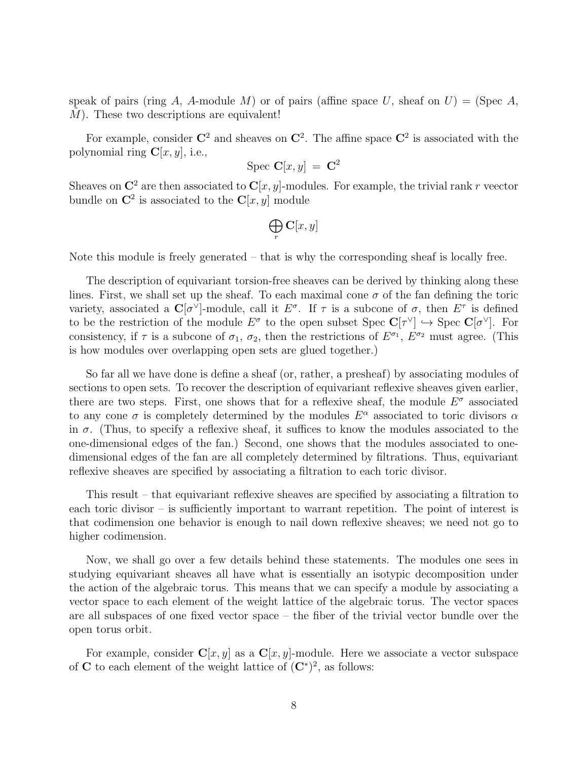speak of pairs (ring A, A-module M) or of pairs (affine space U, sheaf on  $U$ ) = (Spec A,  $M$ ). These two descriptions are equivalent!

For example, consider  $\mathbb{C}^2$  and sheaves on  $\mathbb{C}^2$ . The affine space  $\mathbb{C}^2$  is associated with the polynomial ring  $\mathbf{C}[x, y]$ , i.e.,

$$
Spec \; \mathbf{C}[x,y] \; = \; \mathbf{C}^2
$$

Sheaves on  $\mathbb{C}^2$  are then associated to  $\mathbb{C}[x, y]$ -modules. For example, the trivial rank r veector bundle on  $\mathbb{C}^2$  is associated to the  $\mathbb{C}[x, y]$  module

$$
\bigoplus_r \mathbf{C}[x,y]
$$

Note this module is freely generated – that is why the corresponding sheaf is locally free.

The description of equivariant torsion-free sheaves can be derived by thinking along these lines. First, we shall set up the sheaf. To each maximal cone  $\sigma$  of the fan defining the toric variety, associated a  $\mathbb{C}[\sigma^{\vee}]$ -module, call it  $E^{\sigma}$ . If  $\tau$  is a subcone of  $\sigma$ , then  $E^{\tau}$  is defined to be the restriction of the module  $E^{\sigma}$  to the open subset Spec  $\mathbf{C}[\tau^{\vee}] \hookrightarrow$  Spec  $\mathbf{C}[\sigma^{\vee}]$ . For consistency, if  $\tau$  is a subcone of  $\sigma_1$ ,  $\sigma_2$ , then the restrictions of  $E^{\sigma_1}$ ,  $E^{\sigma_2}$  must agree. (This is how modules over overlapping open sets are glued together.)

So far all we have done is define a sheaf (or, rather, a presheaf) by associating modules of sections to open sets. To recover the description of equivariant reflexive sheaves given earlier, there are two steps. First, one shows that for a reflexive sheaf, the module  $E^{\sigma}$  associated to any cone  $\sigma$  is completely determined by the modules  $E^{\alpha}$  associated to toric divisors  $\alpha$ in  $\sigma$ . (Thus, to specify a reflexive sheaf, it suffices to know the modules associated to the one-dimensional edges of the fan.) Second, one shows that the modules associated to onedimensional edges of the fan are all completely determined by filtrations. Thus, equivariant reflexive sheaves are specified by associating a filtration to each toric divisor.

This result – that equivariant reflexive sheaves are specified by associating a filtration to each toric divisor – is sufficiently important to warrant repetition. The point of interest is that codimension one behavior is enough to nail down reflexive sheaves; we need not go to higher codimension.

Now, we shall go over a few details behind these statements. The modules one sees in studying equivariant sheaves all have what is essentially an isotypic decomposition under the action of the algebraic torus. This means that we can specify a module by associating a vector space to each element of the weight lattice of the algebraic torus. The vector spaces are all subspaces of one fixed vector space – the fiber of the trivial vector bundle over the open torus orbit.

For example, consider  $\mathbf{C}[x, y]$  as a  $\mathbf{C}[x, y]$ -module. Here we associate a vector subspace of C to each element of the weight lattice of  $(C^*)^2$ , as follows: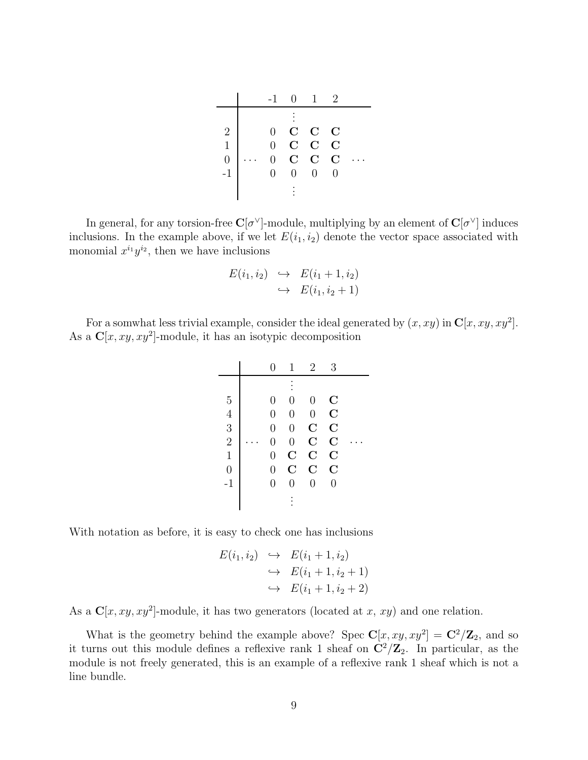|          | $-1$           | $\overline{0}$ | $\overline{1}$ | 2           |  |
|----------|----------------|----------------|----------------|-------------|--|
|          |                |                |                |             |  |
| 2        | $\theta$       |                | $C$ $C$ $C$    |             |  |
| 1        | $\Omega$       | $\mathbf C$    | $C$ $C$        |             |  |
| $\theta$ | $\Omega$       | $\mathbf C$    | $\mathbf C$    | $\mathbf C$ |  |
| $-1$     | $\overline{0}$ | $\Omega$       | $\Omega$       | 0           |  |
|          |                |                |                |             |  |

In general, for any torsion-free  $\mathbf{C}[\sigma^{\vee}]$ -module, multiplying by an element of  $\mathbf{C}[\sigma^{\vee}]$  induces inclusions. In the example above, if we let  $E(i_1, i_2)$  denote the vector space associated with monomial  $x^{i_1}y^{i_2}$ , then we have inclusions

$$
E(i_1, i_2) \leftrightarrow E(i_1 + 1, i_2)
$$
  

$$
\leftrightarrow E(i_1, i_2 + 1)
$$

For a somwhat less trivial example, consider the ideal generated by  $(x, xy)$  in  $\mathbb{C}[x, xy, xy^2]$ . As a  $C[x, xy, xy^2]$ -module, it has an isotypic decomposition

|                | $\mathbf{0}$   | 1              | $\overline{2}$ | 3                  |  |
|----------------|----------------|----------------|----------------|--------------------|--|
|                |                |                |                |                    |  |
| 5              | $\overline{0}$ | 0              | $\overline{0}$ | $\overline{\rm C}$ |  |
| $\overline{4}$ | $\overline{0}$ | $\overline{0}$ | $\overline{0}$ | $\overline{C}$     |  |
| 3              | $\overline{0}$ | $\overline{0}$ | $\overline{C}$ | $\mathbf C$        |  |
| $\overline{2}$ | $\overline{0}$ | $\overline{0}$ | $\overline{C}$ | $\overline{C}$     |  |
| $\mathbf{1}$   | $\overline{0}$ | $\mathbf C$    | $\mathbf C$    | $\mathbf C$        |  |
| $\overline{0}$ | $\overline{0}$ | $\overline{C}$ | $\overline{C}$ | $\overline{C}$     |  |
| $-1$           | $\overline{0}$ | $\overline{0}$ | $\overline{0}$ | $\overline{0}$     |  |
|                |                |                |                |                    |  |
|                |                |                |                |                    |  |

With notation as before, it is easy to check one has inclusions

$$
E(i_1, i_2) \leftrightarrow E(i_1 + 1, i_2)
$$
  
\n
$$
\leftrightarrow E(i_1 + 1, i_2 + 1)
$$
  
\n
$$
\leftrightarrow E(i_1 + 1, i_2 + 2)
$$

As a  $\mathbb{C}[x, xy, xy^2]$ -module, it has two generators (located at x, xy) and one relation.

What is the geometry behind the example above? Spec  $\mathbf{C}[x, xy, xy^2] = \mathbf{C}^2/\mathbf{Z}_2$ , and so it turns out this module defines a reflexive rank 1 sheaf on  $\mathbb{C}^2/\mathbb{Z}_2$ . In particular, as the module is not freely generated, this is an example of a reflexive rank 1 sheaf which is not a line bundle.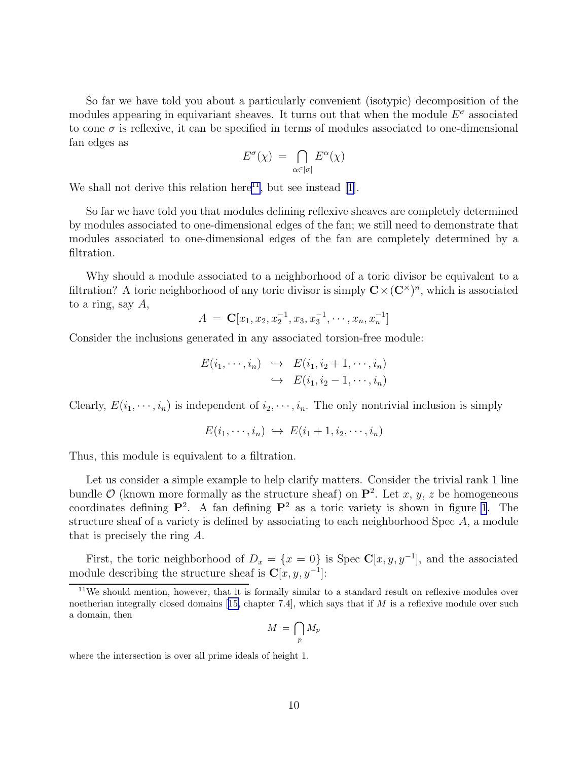So far we have told you about a particularly convenient (isotypic) decomposition of the modules appearing in equivariant sheaves. It turns out that when the module  $E^{\sigma}$  associated to cone  $\sigma$  is reflexive, it can be specified in terms of modules associated to one-dimensional fan edges as

$$
E^{\sigma}(\chi) \ = \ \bigcap_{\alpha \in |\sigma|} E^{\alpha}(\chi)
$$

We shall not derive this relation here<sup>11</sup>, but see instead [\[1](#page-17-0)].

So far we have told you that modules defining reflexive sheaves are completely determined by modules associated to one-dimensional edges of the fan; we still need to demonstrate that modules associated to one-dimensional edges of the fan are completely determined by a filtration.

Why should a module associated to a neighborhood of a toric divisor be equivalent to a filtration? A toric neighborhood of any toric divisor is simply  $\mathbf{C} \times (\mathbf{C}^{\times})^n$ , which is associated to a ring, say  $A$ ,

$$
A = \mathbf{C}[x_1, x_2, x_2^{-1}, x_3, x_3^{-1}, \cdots, x_n, x_n^{-1}]
$$

Consider the inclusions generated in any associated torsion-free module:

$$
E(i_1, \dots, i_n) \hookrightarrow E(i_1, i_2 + 1, \dots, i_n)
$$
  

$$
\hookrightarrow E(i_1, i_2 - 1, \dots, i_n)
$$

Clearly,  $E(i_1, \dots, i_n)$  is independent of  $i_2, \dots, i_n$ . The only nontrivial inclusion is simply

$$
E(i_1,\dots,i_n) \hookrightarrow E(i_1+1,i_2,\dots,i_n)
$$

Thus, this module is equivalent to a filtration.

Let us consider a simple example to help clarify matters. Consider the trivial rank 1 line bundle  $\mathcal{O}$  (known more formally as the structure sheaf) on  $\mathbf{P}^2$ . Let x, y, z be homogeneous coordinates defining  $\mathbf{P}^2$ . A fan defining  $\mathbf{P}^2$  as a toric variety is shown in figure [1](#page-10-0). The structure sheaf of a variety is defined by associating to each neighborhood Spec A, a module that is precisely the ring A.

First, the toric neighborhood of  $D_x = \{x = 0\}$  is Spec  $\mathbb{C}[x, y, y^{-1}]$ , and the associated module describing the structure sheaf is  $\mathbf{C}[x, y, y^{-1}]$ :

$$
M\ =\ \bigcap_p M_p
$$

where the intersection is over all prime ideals of height 1.

<sup>&</sup>lt;sup>11</sup>We should mention, however, that it is formally similar to a standard result on reflexive modules over noetherianintegrally closed domains [[15,](#page-18-0) chapter 7.4], which says that if  $M$  is a reflexive module over such a domain, then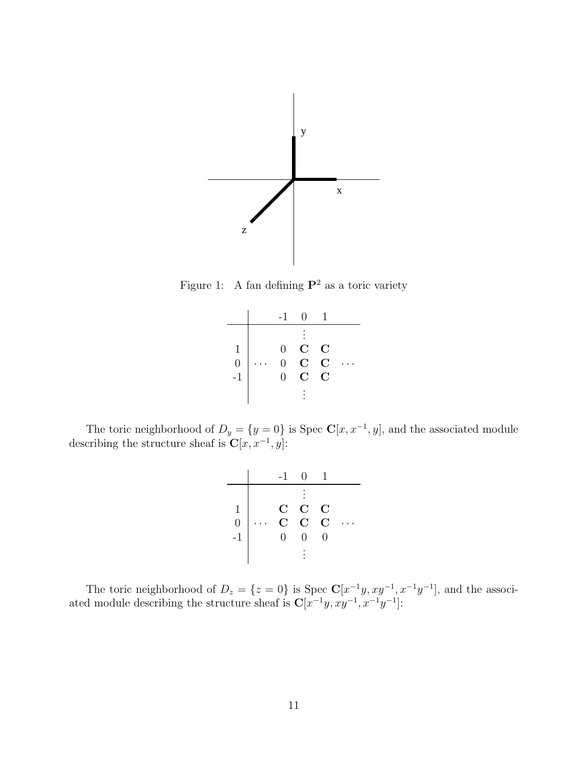<span id="page-10-0"></span>

Figure 1: A fan defining  $\mathbf{P}^2$  as a toric variety

|                                        | $-1$                                         | $\mathbf{\Omega}$                         |                                           |  |
|----------------------------------------|----------------------------------------------|-------------------------------------------|-------------------------------------------|--|
| $\begin{array}{c} 0 \\ -1 \end{array}$ | $\overline{0}$<br>$\Omega$<br>$\overline{0}$ | $\mathbf C$<br>$\mathbf C$<br>$\mathbf C$ | $\mathbf C$<br>$\mathbf C$<br>$\mathbf C$ |  |
|                                        |                                              |                                           |                                           |  |

The toric neighborhood of  $D_y = \{y = 0\}$  is Spec  $\mathbb{C}[x, x^{-1}, y]$ , and the associated module describing the structure sheaf is  $\mathbf{C}[x, x^{-1}, y]$ :

|                                            |             | O)             | $\mathbf{1}$  |  |
|--------------------------------------------|-------------|----------------|---------------|--|
|                                            |             |                |               |  |
|                                            | $\mathbf C$ | $\mathbf C$    | $\mathbf C$   |  |
| $\begin{matrix} 1 \\ 0 \\ -1 \end{matrix}$ | $\tilde{C}$ | $\overline{C}$ | $\mathcal{C}$ |  |
|                                            | $\Omega$    | ⋂              | O             |  |
|                                            |             |                |               |  |

The toric neighborhood of  $D_z = \{z = 0\}$  is Spec  $\mathbb{C}[x^{-1}y, xy^{-1}, x^{-1}y^{-1}]$ , and the associated module describing the structure sheaf is  $C[x^{-1}y, xy^{-1}, x^{-1}y^{-1}]$ :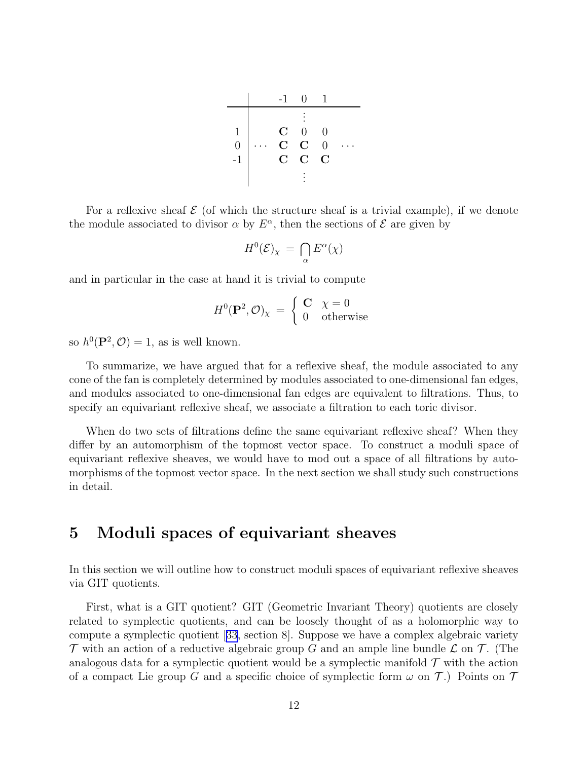|                | -1            | $\mathbf{0}$ |                |  |
|----------------|---------------|--------------|----------------|--|
|                |               |              |                |  |
| 1              | $\mathbf C^-$ | $\Omega$     | 0              |  |
| $\overline{0}$ | $\mathbf{C}$  | $\mathbf C$  | $\theta$       |  |
| $-1$           | $\mathbf C$   | $\mathbf C$  | $\overline{C}$ |  |
|                |               |              |                |  |

<span id="page-11-0"></span>For a reflexive sheaf  $\mathcal E$  (of which the structure sheaf is a trivial example), if we denote the module associated to divisor  $\alpha$  by  $E^{\alpha}$ , then the sections of  $\mathcal E$  are given by

$$
H^0(\mathcal{E})_\chi \,=\, \bigcap_\alpha E^\alpha(\chi)
$$

and in particular in the case at hand it is trivial to compute

$$
H^{0}(\mathbf{P}^{2}, \mathcal{O})_{\chi} = \begin{cases} \mathbf{C} & \chi = 0\\ 0 & \text{otherwise} \end{cases}
$$

so  $h^0(\mathbf{P}^2, \mathcal{O}) = 1$ , as is well known.

To summarize, we have argued that for a reflexive sheaf, the module associated to any cone of the fan is completely determined by modules associated to one-dimensional fan edges, and modules associated to one-dimensional fan edges are equivalent to filtrations. Thus, to specify an equivariant reflexive sheaf, we associate a filtration to each toric divisor.

When do two sets of filtrations define the same equivariant reflexive sheaf? When they differ by an automorphism of the topmost vector space. To construct a moduli space of equivariant reflexive sheaves, we would have to mod out a space of all filtrations by automorphisms of the topmost vector space. In the next section we shall study such constructions in detail.

### 5 Moduli spaces of equivariant sheaves

In this section we will outline how to construct moduli spaces of equivariant reflexive sheaves via GIT quotients.

First, what is a GIT quotient? GIT (Geometric Invariant Theory) quotients are closely related to symplectic quotients, and can be loosely thought of as a holomorphic way to compute a symplectic quotient[[33](#page-19-0), section 8]. Suppose we have a complex algebraic variety  $\mathcal T$  with an action of a reductive algebraic group G and an ample line bundle  $\mathcal L$  on  $\mathcal T$ . (The analogous data for a symplectic quotient would be a symplectic manifold  $\mathcal T$  with the action of a compact Lie group G and a specific choice of symplectic form  $\omega$  on T.) Points on T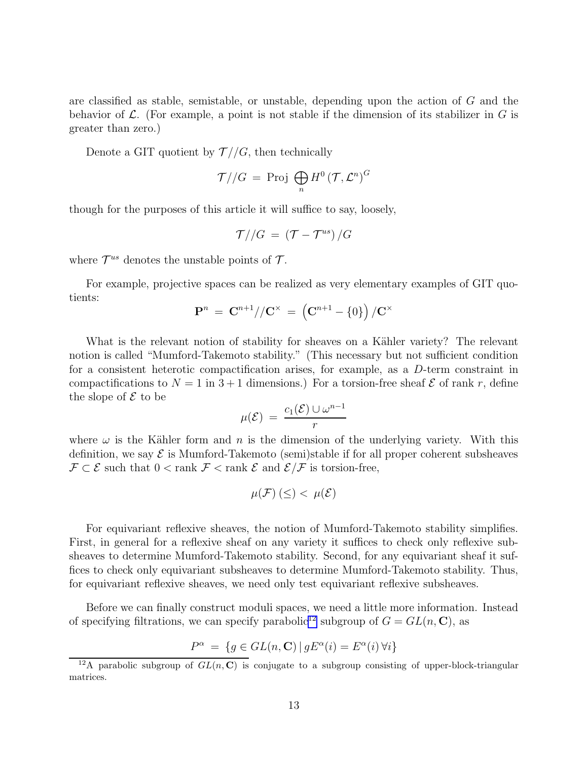are classified as stable, semistable, or unstable, depending upon the action of  $G$  and the behavior of  $\mathcal L$ . (For example, a point is not stable if the dimension of its stabilizer in G is greater than zero.)

Denote a GIT quotient by  $\mathcal{T}/\mathcal{G}$ , then technically

$$
\mathcal{T}//G = \text{Proj } \bigoplus_{n} H^{0}(\mathcal{T}, \mathcal{L}^{n})^{G}
$$

though for the purposes of this article it will suffice to say, loosely,

$$
\mathcal{T}//G = (\mathcal{T} - \mathcal{T}^{us})/G
$$

where  $\mathcal{T}^{us}$  denotes the unstable points of  $\mathcal{T}$ .

For example, projective spaces can be realized as very elementary examples of GIT quotients:

$$
\mathbf{P}^n\,=\,\mathbf{C}^{n+1}//\mathbf{C}^\times\,=\,\left(\mathbf{C}^{n+1}-\{0\}\right)/\mathbf{C}^\times
$$

What is the relevant notion of stability for sheaves on a Kähler variety? The relevant notion is called "Mumford-Takemoto stability." (This necessary but not sufficient condition for a consistent heterotic compactification arises, for example, as a D-term constraint in compactifications to  $N = 1$  in  $3 + 1$  dimensions.) For a torsion-free sheaf  $\mathcal E$  of rank r, define the slope of  $\mathcal E$  to be

$$
\mu(\mathcal{E}) = \frac{c_1(\mathcal{E}) \cup \omega^{n-1}}{r}
$$

where  $\omega$  is the Kähler form and n is the dimension of the underlying variety. With this definition, we say  $\mathcal E$  is Mumford-Takemoto (semi)stable if for all proper coherent subsheaves  $\mathcal{F} \subset \mathcal{E}$  such that  $0 < \text{rank } \mathcal{F} < \text{rank } \mathcal{E}$  and  $\mathcal{E}/\mathcal{F}$  is torsion-free,

$$
\mu(\mathcal{F})\left(\leq\right)<\;\mu(\mathcal{E})
$$

For equivariant reflexive sheaves, the notion of Mumford-Takemoto stability simplifies. First, in general for a reflexive sheaf on any variety it suffices to check only reflexive subsheaves to determine Mumford-Takemoto stability. Second, for any equivariant sheaf it suffices to check only equivariant subsheaves to determine Mumford-Takemoto stability. Thus, for equivariant reflexive sheaves, we need only test equivariant reflexive subsheaves.

Before we can finally construct moduli spaces, we need a little more information. Instead of specifying filtrations, we can specify parabolic<sup>12</sup> subgroup of  $G = GL(n, \mathbb{C})$ , as

$$
P^{\alpha} = \{ g \in GL(n, \mathbf{C}) \, | \, gE^{\alpha}(i) = E^{\alpha}(i) \, \forall i \}
$$

<sup>&</sup>lt;sup>12</sup>A parabolic subgroup of  $GL(n, \mathbb{C})$  is conjugate to a subgroup consisting of upper-block-triangular matrices.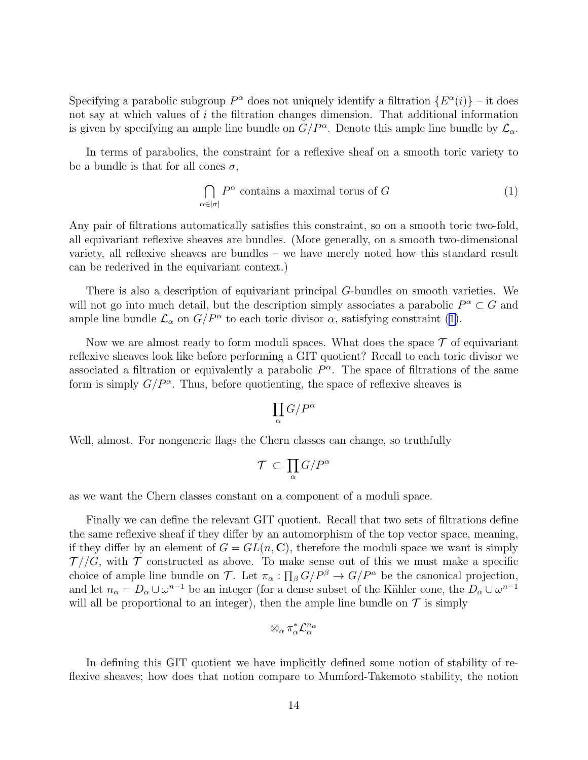Specifying a parabolic subgroup  $P^{\alpha}$  does not uniquely identify a filtration  $\{E^{\alpha}(i)\}$  – it does not say at which values of i the filtration changes dimension. That additional information is given by specifying an ample line bundle on  $G/P^{\alpha}$ . Denote this ample line bundle by  $\mathcal{L}_{\alpha}$ .

In terms of parabolics, the constraint for a reflexive sheaf on a smooth toric variety to be a bundle is that for all cones  $\sigma$ ,

$$
\bigcap_{\alpha \in |\sigma|} P^{\alpha} \text{ contains a maximal torus of } G \tag{1}
$$

Any pair of filtrations automatically satisfies this constraint, so on a smooth toric two-fold, all equivariant reflexive sheaves are bundles. (More generally, on a smooth two-dimensional variety, all reflexive sheaves are bundles – we have merely noted how this standard result can be rederived in the equivariant context.)

There is also a description of equivariant principal G-bundles on smooth varieties. We will not go into much detail, but the description simply associates a parabolic  $P^{\alpha} \subset G$  and ample line bundle  $\mathcal{L}_{\alpha}$  on  $G/P^{\alpha}$  to each toric divisor  $\alpha$ , satisfying constraint (1).

Now we are almost ready to form moduli spaces. What does the space  $\mathcal T$  of equivariant reflexive sheaves look like before performing a GIT quotient? Recall to each toric divisor we associated a filtration or equivalently a parabolic  $P^{\alpha}$ . The space of filtrations of the same form is simply  $G/P^{\alpha}$ . Thus, before quotienting, the space of reflexive sheaves is

$$
\prod_{\alpha}G/P^{\alpha}
$$

Well, almost. For nongeneric flags the Chern classes can change, so truthfully

$$
\mathcal{T} \, \subset \, \prod_{\alpha} G/P^{\alpha}
$$

as we want the Chern classes constant on a component of a moduli space.

Finally we can define the relevant GIT quotient. Recall that two sets of filtrations define the same reflexive sheaf if they differ by an automorphism of the top vector space, meaning, if they differ by an element of  $G = GL(n, \mathbb{C})$ , therefore the moduli space we want is simply  $\mathcal{T}/\mathcal{G}$ , with  $\mathcal T$  constructed as above. To make sense out of this we must make a specific choice of ample line bundle on T. Let  $\pi_{\alpha} : \prod_{\beta} G/P^{\beta} \to G/P^{\alpha}$  be the canonical projection, and let  $n_{\alpha} = D_{\alpha} \cup \omega^{n-1}$  be an integer (for a dense subset of the Kähler cone, the  $D_{\alpha} \cup \omega^{n-1}$ will all be proportional to an integer), then the ample line bundle on  $\mathcal T$  is simply

$$
\otimes_\alpha \pi_\alpha^* \mathcal{L}_\alpha^{n_\alpha}
$$

In defining this GIT quotient we have implicitly defined some notion of stability of reflexive sheaves; how does that notion compare to Mumford-Takemoto stability, the notion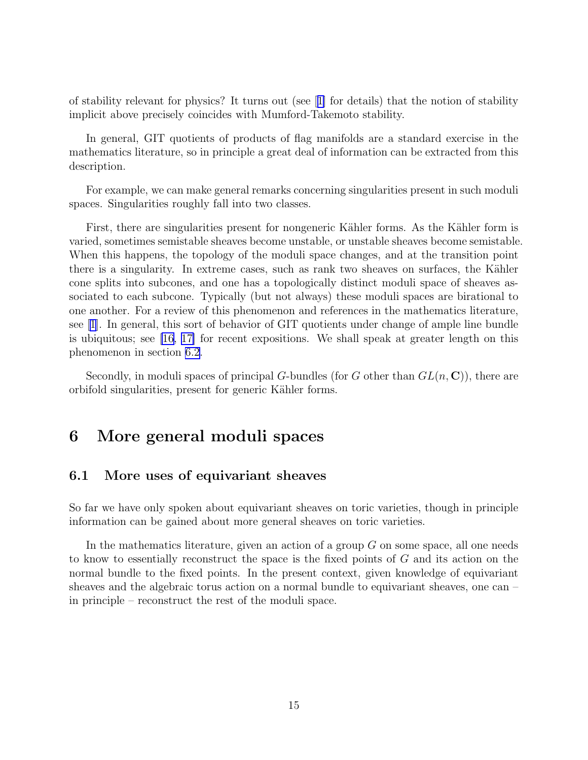<span id="page-14-0"></span>of stability relevant for physics? It turns out (see[[1\]](#page-17-0) for details) that the notion of stability implicit above precisely coincides with Mumford-Takemoto stability.

In general, GIT quotients of products of flag manifolds are a standard exercise in the mathematics literature, so in principle a great deal of information can be extracted from this description.

For example, we can make general remarks concerning singularities present in such moduli spaces. Singularities roughly fall into two classes.

First, there are singularities present for nongeneric Kähler forms. As the Kähler form is varied, sometimes semistable sheaves become unstable, or unstable sheaves become semistable. When this happens, the topology of the moduli space changes, and at the transition point there is a singularity. In extreme cases, such as rank two sheaves on surfaces, the Kähler cone splits into subcones, and one has a topologically distinct moduli space of sheaves associated to each subcone. Typically (but not always) these moduli spaces are birational to one another. For a review of this phenomenon and references in the mathematics literature, see[[1\]](#page-17-0). In general, this sort of behavior of GIT quotients under change of ample line bundle is ubiquitous; see [\[16](#page-18-0), [17\]](#page-18-0) for recent expositions. We shall speak at greater length on this phenomenon in section 6.2.

Secondly, in moduli spaces of principal G-bundles (for G other than  $GL(n, \mathbb{C})$ ), there are orbifold singularities, present for generic Kähler forms.

## 6 More general moduli spaces

#### 6.1 More uses of equivariant sheaves

So far we have only spoken about equivariant sheaves on toric varieties, though in principle information can be gained about more general sheaves on toric varieties.

In the mathematics literature, given an action of a group  $G$  on some space, all one needs to know to essentially reconstruct the space is the fixed points of G and its action on the normal bundle to the fixed points. In the present context, given knowledge of equivariant sheaves and the algebraic torus action on a normal bundle to equivariant sheaves, one can – in principle – reconstruct the rest of the moduli space.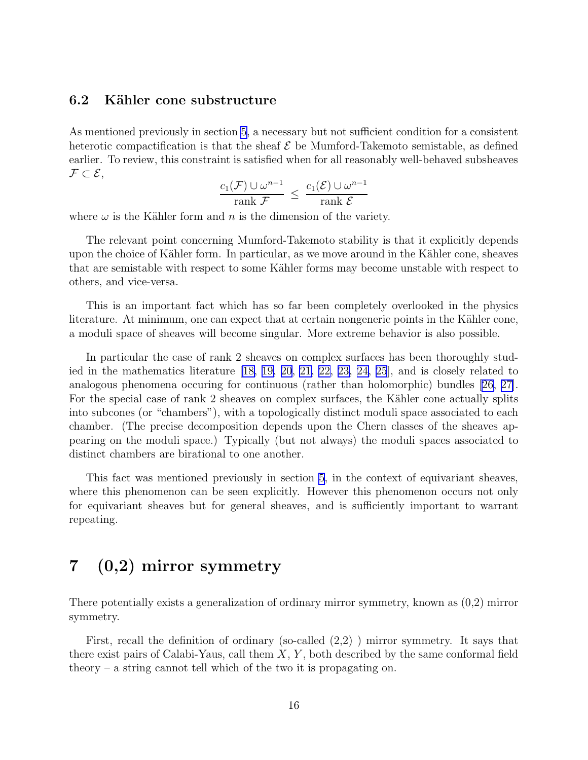#### <span id="page-15-0"></span>6.2 Kähler cone substructure

As mentioned previously in section [5](#page-11-0), a necessary but not sufficient condition for a consistent heterotic compactification is that the sheaf  $\mathcal E$  be Mumford-Takemoto semistable, as defined earlier. To review, this constraint is satisfied when for all reasonably well-behaved subsheaves  $\mathcal{F} \subset \mathcal{E},$ 

$$
\frac{c_1(\mathcal{F}) \cup \omega^{n-1}}{\operatorname{rank} \mathcal{F}} \le \frac{c_1(\mathcal{E}) \cup \omega^{n-1}}{\operatorname{rank} \mathcal{E}}
$$

where  $\omega$  is the Kähler form and n is the dimension of the variety.

The relevant point concerning Mumford-Takemoto stability is that it explicitly depends upon the choice of Kähler form. In particular, as we move around in the Kähler cone, sheaves that are semistable with respect to some Kähler forms may become unstable with respect to others, and vice-versa.

This is an important fact which has so far been completely overlooked in the physics literature. At minimum, one can expect that at certain nongeneric points in the Kähler cone, a moduli space of sheaves will become singular. More extreme behavior is also possible.

In particular the case of rank 2 sheaves on complex surfaces has been thoroughly studied in the mathematics literature[[18, 19, 20](#page-18-0), [21](#page-18-0), [22, 23, 24, 25](#page-18-0)], and is closely related to analogous phenomena occuring for continuous (rather than holomorphic) bundles [\[26, 27\]](#page-19-0). For the special case of rank 2 sheaves on complex surfaces, the Kähler cone actually splits into subcones (or "chambers"), with a topologically distinct moduli space associated to each chamber. (The precise decomposition depends upon the Chern classes of the sheaves appearing on the moduli space.) Typically (but not always) the moduli spaces associated to distinct chambers are birational to one another.

This fact was mentioned previously in section [5](#page-11-0), in the context of equivariant sheaves, where this phenomenon can be seen explicitly. However this phenomenon occurs not only for equivariant sheaves but for general sheaves, and is sufficiently important to warrant repeating.

# 7 (0,2) mirror symmetry

There potentially exists a generalization of ordinary mirror symmetry, known as (0,2) mirror symmetry.

First, recall the definition of ordinary (so-called (2,2) ) mirror symmetry. It says that there exist pairs of Calabi-Yaus, call them  $X, Y$ , both described by the same conformal field theory – a string cannot tell which of the two it is propagating on.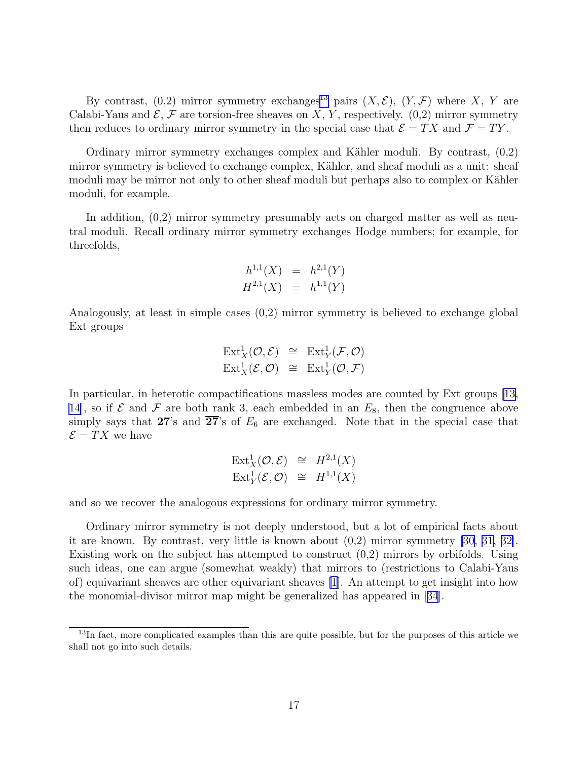By contrast, (0,2) mirror symmetry exchanges<sup>13</sup> pairs  $(X, \mathcal{E})$ ,  $(Y, \mathcal{F})$  where X, Y are Calabi-Yaus and  $\mathcal{E}, \mathcal{F}$  are torsion-free sheaves on X, Y, respectively. (0,2) mirror symmetry then reduces to ordinary mirror symmetry in the special case that  $\mathcal{E} = TX$  and  $\mathcal{F} = TY$ .

Ordinary mirror symmetry exchanges complex and Kähler moduli. By contrast,  $(0,2)$ mirror symmetry is believed to exchange complex, Kähler, and sheaf moduli as a unit: sheaf moduli may be mirror not only to other sheaf moduli but perhaps also to complex or Kähler moduli, for example.

In addition, (0,2) mirror symmetry presumably acts on charged matter as well as neutral moduli. Recall ordinary mirror symmetry exchanges Hodge numbers; for example, for threefolds,

$$
h^{1,1}(X) = h^{2,1}(Y)
$$
  

$$
H^{2,1}(X) = h^{1,1}(Y)
$$

Analogously, at least in simple cases (0,2) mirror symmetry is believed to exchange global Ext groups

$$
\mathrm{Ext}^1_X(\mathcal{O}, \mathcal{E}) \cong \mathrm{Ext}^1_Y(\mathcal{F}, \mathcal{O})
$$
  

$$
\mathrm{Ext}^1_X(\mathcal{E}, \mathcal{O}) \cong \mathrm{Ext}^1_Y(\mathcal{O}, \mathcal{F})
$$

In particular, in heterotic compactifications massless modes are counted by Ext groups[[13,](#page-18-0) 14, so if  $\mathcal E$  and  $\mathcal F$  are both rank 3, each embedded in an  $E_8$ , then the congruence above simply says that 27's and  $\overline{27}$ 's of  $E_6$  are exchanged. Note that in the special case that  $\mathcal{E} = TX$  we have

$$
\operatorname{Ext}^1_X(\mathcal{O}, \mathcal{E}) \cong H^{2,1}(X)
$$
  

$$
\operatorname{Ext}^1_Y(\mathcal{E}, \mathcal{O}) \cong H^{1,1}(X)
$$

and so we recover the analogous expressions for ordinary mirror symmetry.

Ordinary mirror symmetry is not deeply understood, but a lot of empirical facts about it are known. By contrast, very little is known about (0,2) mirror symmetry [\[30](#page-19-0), [31, 32\]](#page-19-0). Existing work on the subject has attempted to construct (0,2) mirrors by orbifolds. Using such ideas, one can argue (somewhat weakly) that mirrors to (restrictions to Calabi-Yaus of) equivariant sheaves are other equivariant sheaves [\[1](#page-17-0)]. An attempt to get insight into how the monomial-divisor mirror map might be generalized has appeared in[[34](#page-19-0)].

<sup>&</sup>lt;sup>13</sup>In fact, more complicated examples than this are quite possible, but for the purposes of this article we shall not go into such details.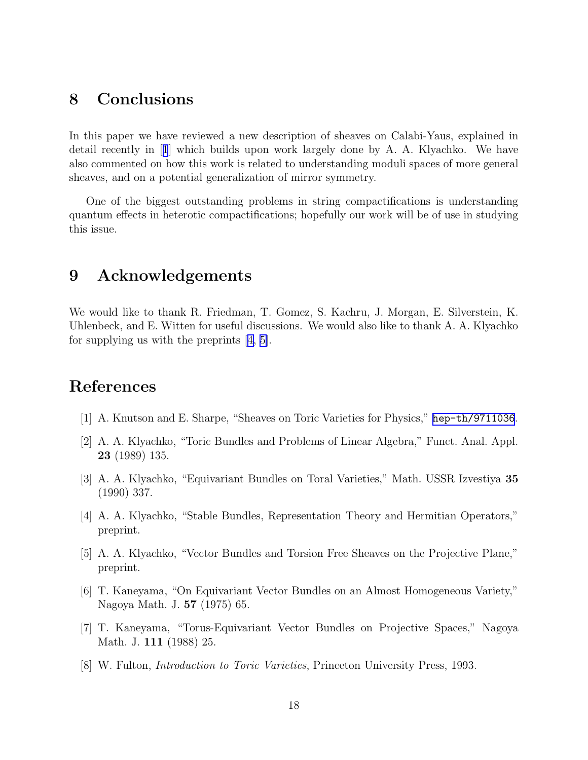# <span id="page-17-0"></span>8 Conclusions

In this paper we have reviewed a new description of sheaves on Calabi-Yaus, explained in detail recently in [1] which builds upon work largely done by A. A. Klyachko. We have also commented on how this work is related to understanding moduli spaces of more general sheaves, and on a potential generalization of mirror symmetry.

One of the biggest outstanding problems in string compactifications is understanding quantum effects in heterotic compactifications; hopefully our work will be of use in studying this issue.

# 9 Acknowledgements

We would like to thank R. Friedman, T. Gomez, S. Kachru, J. Morgan, E. Silverstein, K. Uhlenbeck, and E. Witten for useful discussions. We would also like to thank A. A. Klyachko for supplying us with the preprints [4, 5].

# References

- [1] A. Knutson and E. Sharpe, "Sheaves on Toric Varieties for Physics," [hep-th/9711036](http://arxiv.org/abs/hep-th/9711036).
- [2] A. A. Klyachko, "Toric Bundles and Problems of Linear Algebra," Funct. Anal. Appl. 23 (1989) 135.
- [3] A. A. Klyachko, "Equivariant Bundles on Toral Varieties," Math. USSR Izvestiya 35 (1990) 337.
- [4] A. A. Klyachko, "Stable Bundles, Representation Theory and Hermitian Operators," preprint.
- [5] A. A. Klyachko, "Vector Bundles and Torsion Free Sheaves on the Projective Plane," preprint.
- [6] T. Kaneyama, "On Equivariant Vector Bundles on an Almost Homogeneous Variety," Nagoya Math. J. 57 (1975) 65.
- [7] T. Kaneyama, "Torus-Equivariant Vector Bundles on Projective Spaces," Nagoya Math. J. 111 (1988) 25.
- [8] W. Fulton, Introduction to Toric Varieties, Princeton University Press, 1993.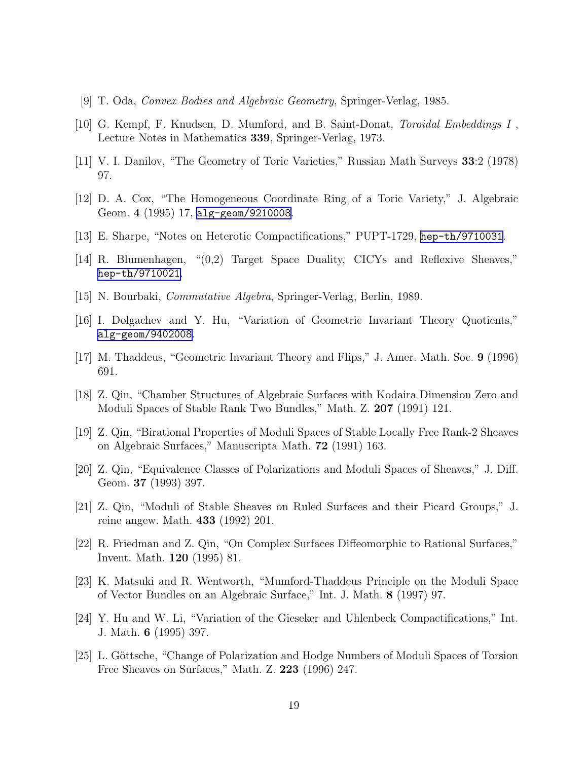- <span id="page-18-0"></span>[9] T. Oda, Convex Bodies and Algebraic Geometry, Springer-Verlag, 1985.
- [10] G. Kempf, F. Knudsen, D. Mumford, and B. Saint-Donat, Toroidal Embeddings I , Lecture Notes in Mathematics 339, Springer-Verlag, 1973.
- [11] V. I. Danilov, "The Geometry of Toric Varieties," Russian Math Surveys 33:2 (1978) 97.
- [12] D. A. Cox, "The Homogeneous Coordinate Ring of a Toric Variety," J. Algebraic Geom. 4 (1995) 17, [alg-geom/9210008](http://arxiv.org/abs/alg-geom/9210008).
- [13] E. Sharpe, "Notes on Heterotic Compactifications," PUPT-1729, [hep-th/9710031](http://arxiv.org/abs/hep-th/9710031).
- [14] R. Blumenhagen, "(0,2) Target Space Duality, CICYs and Reflexive Sheaves," [hep-th/9710021](http://arxiv.org/abs/hep-th/9710021).
- [15] N. Bourbaki, Commutative Algebra, Springer-Verlag, Berlin, 1989.
- [16] I. Dolgachev and Y. Hu, "Variation of Geometric Invariant Theory Quotients," [alg-geom/9402008](http://arxiv.org/abs/alg-geom/9402008).
- [17] M. Thaddeus, "Geometric Invariant Theory and Flips," J. Amer. Math. Soc. 9 (1996) 691.
- [18] Z. Qin, "Chamber Structures of Algebraic Surfaces with Kodaira Dimension Zero and Moduli Spaces of Stable Rank Two Bundles," Math. Z. 207 (1991) 121.
- [19] Z. Qin, "Birational Properties of Moduli Spaces of Stable Locally Free Rank-2 Sheaves on Algebraic Surfaces," Manuscripta Math. 72 (1991) 163.
- [20] Z. Qin, "Equivalence Classes of Polarizations and Moduli Spaces of Sheaves," J. Diff. Geom. 37 (1993) 397.
- [21] Z. Qin, "Moduli of Stable Sheaves on Ruled Surfaces and their Picard Groups," J. reine angew. Math. 433 (1992) 201.
- [22] R. Friedman and Z. Qin, "On Complex Surfaces Diffeomorphic to Rational Surfaces," Invent. Math. 120 (1995) 81.
- [23] K. Matsuki and R. Wentworth, "Mumford-Thaddeus Principle on the Moduli Space of Vector Bundles on an Algebraic Surface," Int. J. Math. 8 (1997) 97.
- [24] Y. Hu and W. Li, "Variation of the Gieseker and Uhlenbeck Compactifications," Int. J. Math. 6 (1995) 397.
- [25] L. Göttsche, "Change of Polarization and Hodge Numbers of Moduli Spaces of Torsion Free Sheaves on Surfaces," Math. Z. 223 (1996) 247.